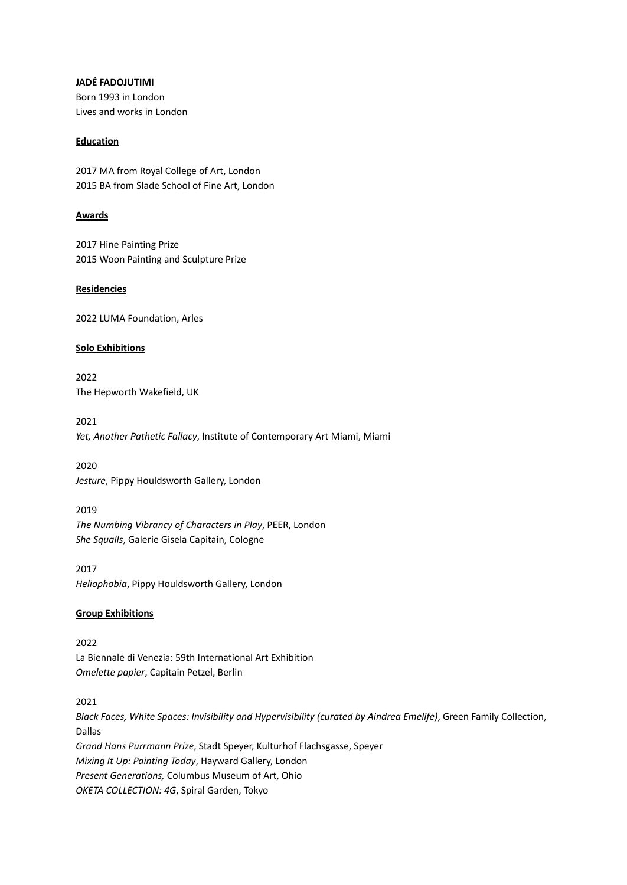#### **JADÉ FADOJUTIMI**

Born 1993 in London Lives and works in London

#### **Education**

2017 MA from Royal College of Art, London 2015 BA from Slade School of Fine Art, London

#### **Awards**

2017 Hine Painting Prize 2015 Woon Painting and Sculpture Prize

### **Residencies**

2022 LUMA Foundation, Arles

### **Solo Exhibitions**

2022 The Hepworth Wakefield, UK

2021 *Yet, Another Pathetic Fallacy*, Institute of Contemporary Art Miami, Miami

2020 *Jesture*, Pippy Houldsworth Gallery, London

#### 2019

*The Numbing Vibrancy of Characters in Play*, PEER, London *She Squalls*, Galerie Gisela Capitain, Cologne

2017 *Heliophobia*, Pippy Houldsworth Gallery, London

# **Group Exhibitions**

2022 La Biennale di Venezia: 59th International Art Exhibition *Omelette papier*, Capitain Petzel, Berlin

2021

*Black Faces, White Spaces: Invisibility and Hypervisibility (curated by Aindrea Emelife)*, Green Family Collection, Dallas *Grand Hans Purrmann Prize*, Stadt Speyer, Kulturhof Flachsgasse, Speyer *Mixing It Up: Painting Today*, Hayward Gallery, London *Present Generations,* Columbus Museum of Art, Ohio *OKETA COLLECTION: 4G*, Spiral Garden, Tokyo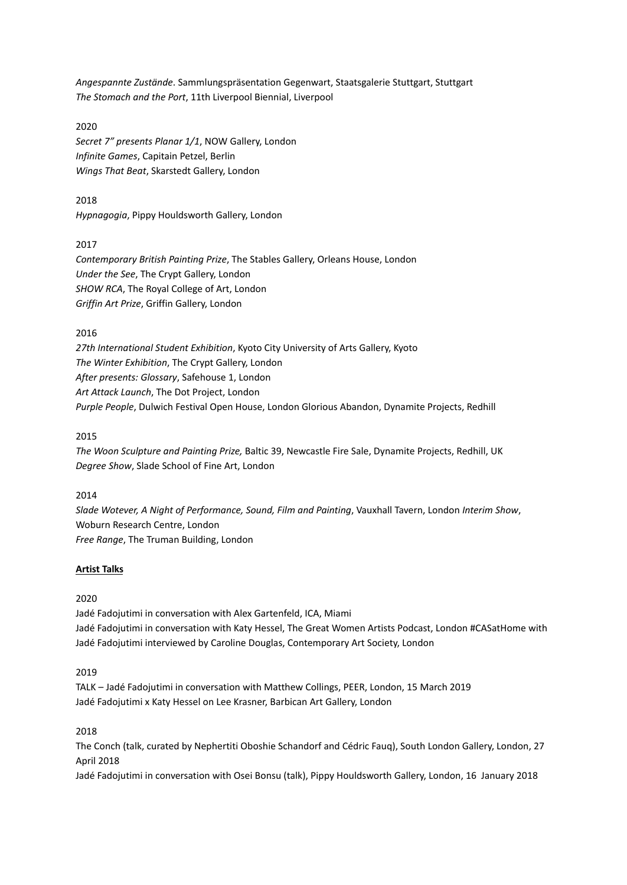*Angespannte Zustände*. Sammlungspräsentation Gegenwart, Staatsgalerie Stuttgart, Stuttgart *The Stomach and the Port*, 11th Liverpool Biennial, Liverpool

## 2020

*Secret 7" presents Planar 1/1*, NOW Gallery, London *Infinite Games*, Capitain Petzel, Berlin *Wings That Beat*, Skarstedt Gallery, London

2018 *Hypnagogia*, Pippy Houldsworth Gallery, London

### 2017

*Contemporary British Painting Prize*, The Stables Gallery, Orleans House, London *Under the See*, The Crypt Gallery, London *SHOW RCA*, The Royal College of Art, London *Griffin Art Prize*, Griffin Gallery, London

### 2016

*27th International Student Exhibition*, Kyoto City University of Arts Gallery, Kyoto *The Winter Exhibition*, The Crypt Gallery, London *After presents: Glossary*, Safehouse 1, London *Art Attack Launch*, The Dot Project, London *Purple People*, Dulwich Festival Open House, London Glorious Abandon, Dynamite Projects, Redhill

### 2015

*The Woon Sculpture and Painting Prize,* Baltic 39, Newcastle Fire Sale, Dynamite Projects, Redhill, UK *Degree Show*, Slade School of Fine Art, London

2014

*Slade Wotever, A Night of Performance, Sound, Film and Painting*, Vauxhall Tavern, London *Interim Show*, Woburn Research Centre, London *Free Range*, The Truman Building, London

# **Artist Talks**

# 2020

Jadé Fadojutimi in conversation with Alex Gartenfeld, ICA, Miami Jadé Fadojutimi in conversation with Katy Hessel, The Great Women Artists Podcast, London #CASatHome with Jadé Fadojutimi interviewed by Caroline Douglas, Contemporary Art Society, London

# 2019

TALK – Jadé Fadojutimi in conversation with Matthew Collings, PEER, London, 15 March 2019 Jadé Fadojutimi x Katy Hessel on Lee Krasner, Barbican Art Gallery, London

2018

The Conch (talk, curated by Nephertiti Oboshie Schandorf and Cédric Fauq), South London Gallery, London, 27 April 2018

Jadé Fadojutimi in conversation with Osei Bonsu (talk), Pippy Houldsworth Gallery, London, 16 January 2018